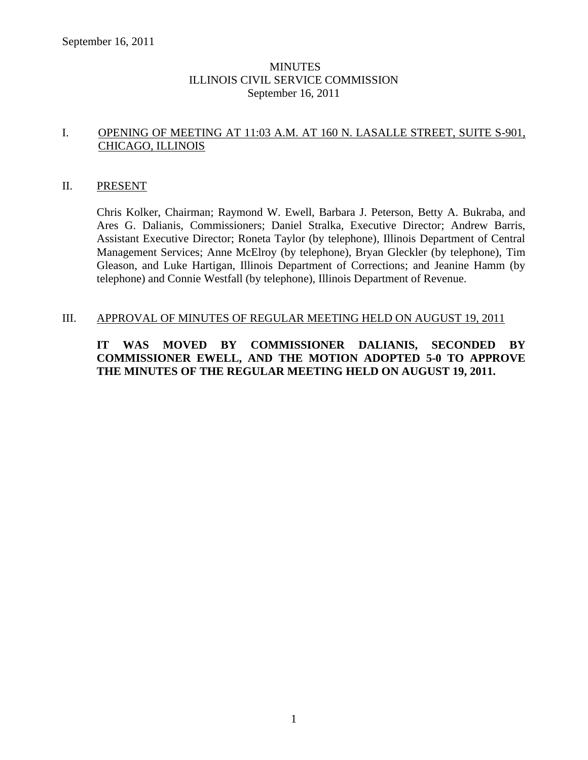# MINUTES ILLINOIS CIVIL SERVICE COMMISSION September 16, 2011

# I. OPENING OF MEETING AT 11:03 A.M. AT 160 N. LASALLE STREET, SUITE S-901, CHICAGO, ILLINOIS

#### II. PRESENT

Chris Kolker, Chairman; Raymond W. Ewell, Barbara J. Peterson, Betty A. Bukraba, and Ares G. Dalianis, Commissioners; Daniel Stralka, Executive Director; Andrew Barris, Assistant Executive Director; Roneta Taylor (by telephone), Illinois Department of Central Management Services; Anne McElroy (by telephone), Bryan Gleckler (by telephone), Tim Gleason, and Luke Hartigan, Illinois Department of Corrections; and Jeanine Hamm (by telephone) and Connie Westfall (by telephone), Illinois Department of Revenue.

#### III. APPROVAL OF MINUTES OF REGULAR MEETING HELD ON AUGUST 19, 2011

# **IT WAS MOVED BY COMMISSIONER DALIANIS, SECONDED BY COMMISSIONER EWELL, AND THE MOTION ADOPTED 5-0 TO APPROVE THE MINUTES OF THE REGULAR MEETING HELD ON AUGUST 19, 2011.**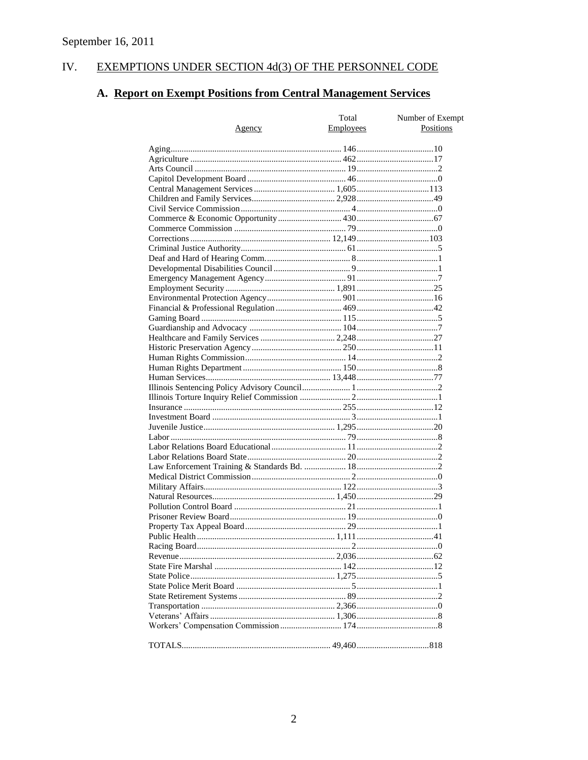#### EXEMPTIONS UNDER SECTION 4d(3) OF THE PERSONNEL CODE IV.

# A. Report on Exempt Positions from Central Management Services

|        | Total            | Number of Exempt |
|--------|------------------|------------------|
| Agency | <b>Employees</b> | Positions        |
|        |                  |                  |
|        |                  |                  |
|        |                  |                  |
|        |                  |                  |
|        |                  |                  |
|        |                  |                  |
|        |                  |                  |
|        |                  |                  |
|        |                  |                  |
|        |                  |                  |
|        |                  |                  |
|        |                  |                  |
|        |                  |                  |
|        |                  |                  |
|        |                  |                  |
|        |                  |                  |
|        |                  |                  |
|        |                  |                  |
|        |                  |                  |
|        |                  |                  |
|        |                  |                  |
|        |                  |                  |
|        |                  |                  |
|        |                  |                  |
|        |                  |                  |
|        |                  |                  |
|        |                  |                  |
|        |                  |                  |
|        |                  |                  |
|        |                  |                  |
|        |                  |                  |
|        |                  |                  |
|        |                  |                  |
|        |                  |                  |
|        |                  |                  |
|        |                  |                  |
|        |                  |                  |
|        |                  |                  |
|        |                  |                  |
|        |                  |                  |
|        |                  |                  |
|        |                  |                  |
|        |                  |                  |
|        |                  |                  |
|        |                  |                  |
|        |                  |                  |
|        |                  |                  |
|        |                  |                  |
|        |                  |                  |
|        |                  |                  |
|        |                  |                  |
|        |                  |                  |
|        |                  |                  |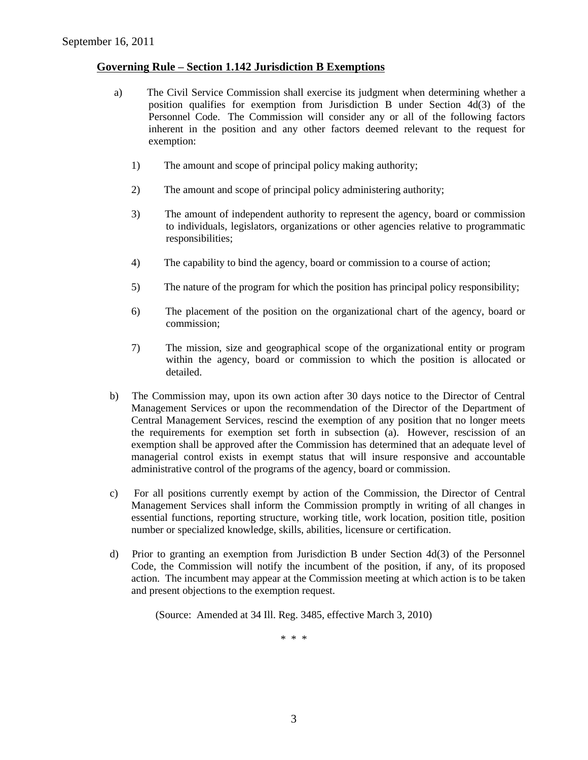# **Governing Rule – Section 1.142 Jurisdiction B Exemptions**

- a) The Civil Service Commission shall exercise its judgment when determining whether a position qualifies for exemption from Jurisdiction B under Section 4d(3) of the Personnel Code. The Commission will consider any or all of the following factors inherent in the position and any other factors deemed relevant to the request for exemption:
	- 1) The amount and scope of principal policy making authority;
	- 2) The amount and scope of principal policy administering authority;
	- 3) The amount of independent authority to represent the agency, board or commission to individuals, legislators, organizations or other agencies relative to programmatic responsibilities;
	- 4) The capability to bind the agency, board or commission to a course of action;
	- 5) The nature of the program for which the position has principal policy responsibility;
	- 6) The placement of the position on the organizational chart of the agency, board or commission;
	- 7) The mission, size and geographical scope of the organizational entity or program within the agency, board or commission to which the position is allocated or detailed.
- b) The Commission may, upon its own action after 30 days notice to the Director of Central Management Services or upon the recommendation of the Director of the Department of Central Management Services, rescind the exemption of any position that no longer meets the requirements for exemption set forth in subsection (a). However, rescission of an exemption shall be approved after the Commission has determined that an adequate level of managerial control exists in exempt status that will insure responsive and accountable administrative control of the programs of the agency, board or commission.
- c) For all positions currently exempt by action of the Commission, the Director of Central Management Services shall inform the Commission promptly in writing of all changes in essential functions, reporting structure, working title, work location, position title, position number or specialized knowledge, skills, abilities, licensure or certification.
- d) Prior to granting an exemption from Jurisdiction B under Section 4d(3) of the Personnel Code, the Commission will notify the incumbent of the position, if any, of its proposed action. The incumbent may appear at the Commission meeting at which action is to be taken and present objections to the exemption request.

(Source: Amended at 34 Ill. Reg. 3485, effective March 3, 2010)

\* \* \*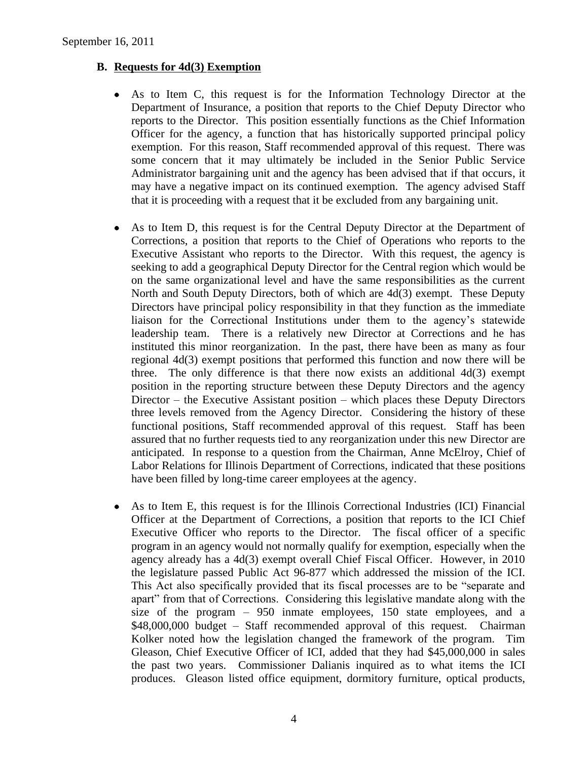# **B. Requests for 4d(3) Exemption**

- $\bullet$ As to Item C, this request is for the Information Technology Director at the Department of Insurance, a position that reports to the Chief Deputy Director who reports to the Director. This position essentially functions as the Chief Information Officer for the agency, a function that has historically supported principal policy exemption. For this reason, Staff recommended approval of this request. There was some concern that it may ultimately be included in the Senior Public Service Administrator bargaining unit and the agency has been advised that if that occurs, it may have a negative impact on its continued exemption. The agency advised Staff that it is proceeding with a request that it be excluded from any bargaining unit.
- As to Item D, this request is for the Central Deputy Director at the Department of  $\bullet$ Corrections, a position that reports to the Chief of Operations who reports to the Executive Assistant who reports to the Director. With this request, the agency is seeking to add a geographical Deputy Director for the Central region which would be on the same organizational level and have the same responsibilities as the current North and South Deputy Directors, both of which are 4d(3) exempt. These Deputy Directors have principal policy responsibility in that they function as the immediate liaison for the Correctional Institutions under them to the agency's statewide leadership team. There is a relatively new Director at Corrections and he has instituted this minor reorganization. In the past, there have been as many as four regional 4d(3) exempt positions that performed this function and now there will be three. The only difference is that there now exists an additional  $4d(3)$  exempt position in the reporting structure between these Deputy Directors and the agency Director – the Executive Assistant position – which places these Deputy Directors three levels removed from the Agency Director. Considering the history of these functional positions, Staff recommended approval of this request. Staff has been assured that no further requests tied to any reorganization under this new Director are anticipated. In response to a question from the Chairman, Anne McElroy, Chief of Labor Relations for Illinois Department of Corrections, indicated that these positions have been filled by long-time career employees at the agency.
- As to Item E, this request is for the Illinois Correctional Industries (ICI) Financial  $\bullet$ Officer at the Department of Corrections, a position that reports to the ICI Chief Executive Officer who reports to the Director. The fiscal officer of a specific program in an agency would not normally qualify for exemption, especially when the agency already has a 4d(3) exempt overall Chief Fiscal Officer. However, in 2010 the legislature passed Public Act 96-877 which addressed the mission of the ICI. This Act also specifically provided that its fiscal processes are to be "separate and apart" from that of Corrections. Considering this legislative mandate along with the size of the program – 950 inmate employees, 150 state employees, and a \$48,000,000 budget – Staff recommended approval of this request. Chairman Kolker noted how the legislation changed the framework of the program. Tim Gleason, Chief Executive Officer of ICI, added that they had \$45,000,000 in sales the past two years. Commissioner Dalianis inquired as to what items the ICI produces. Gleason listed office equipment, dormitory furniture, optical products,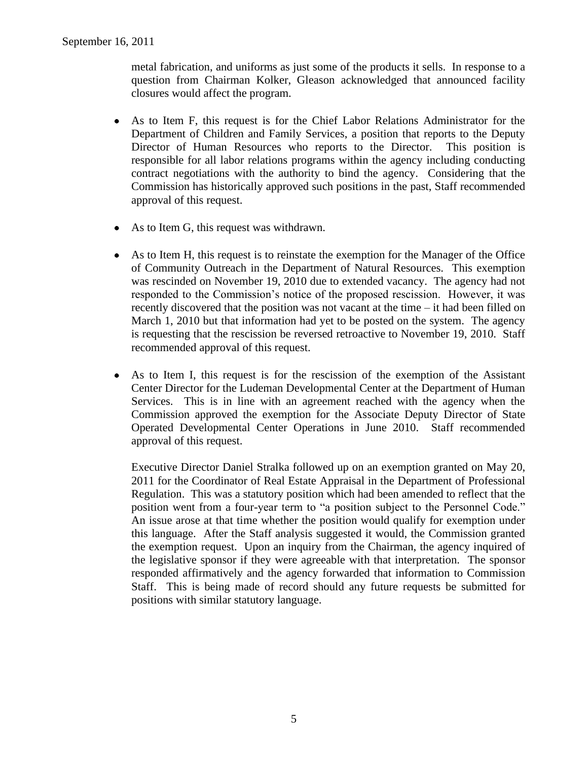metal fabrication, and uniforms as just some of the products it sells. In response to a question from Chairman Kolker, Gleason acknowledged that announced facility closures would affect the program.

- As to Item F, this request is for the Chief Labor Relations Administrator for the  $\bullet$ Department of Children and Family Services, a position that reports to the Deputy Director of Human Resources who reports to the Director. This position is responsible for all labor relations programs within the agency including conducting contract negotiations with the authority to bind the agency. Considering that the Commission has historically approved such positions in the past, Staff recommended approval of this request.
- As to Item G, this request was withdrawn.  $\bullet$
- As to Item H, this request is to reinstate the exemption for the Manager of the Office of Community Outreach in the Department of Natural Resources. This exemption was rescinded on November 19, 2010 due to extended vacancy. The agency had not responded to the Commission's notice of the proposed rescission. However, it was recently discovered that the position was not vacant at the time – it had been filled on March 1, 2010 but that information had yet to be posted on the system. The agency is requesting that the rescission be reversed retroactive to November 19, 2010. Staff recommended approval of this request.
- As to Item I, this request is for the rescission of the exemption of the Assistant  $\bullet$ Center Director for the Ludeman Developmental Center at the Department of Human Services. This is in line with an agreement reached with the agency when the Commission approved the exemption for the Associate Deputy Director of State Operated Developmental Center Operations in June 2010. Staff recommended approval of this request.

Executive Director Daniel Stralka followed up on an exemption granted on May 20, 2011 for the Coordinator of Real Estate Appraisal in the Department of Professional Regulation. This was a statutory position which had been amended to reflect that the position went from a four-year term to "a position subject to the Personnel Code." An issue arose at that time whether the position would qualify for exemption under this language. After the Staff analysis suggested it would, the Commission granted the exemption request. Upon an inquiry from the Chairman, the agency inquired of the legislative sponsor if they were agreeable with that interpretation. The sponsor responded affirmatively and the agency forwarded that information to Commission Staff. This is being made of record should any future requests be submitted for positions with similar statutory language.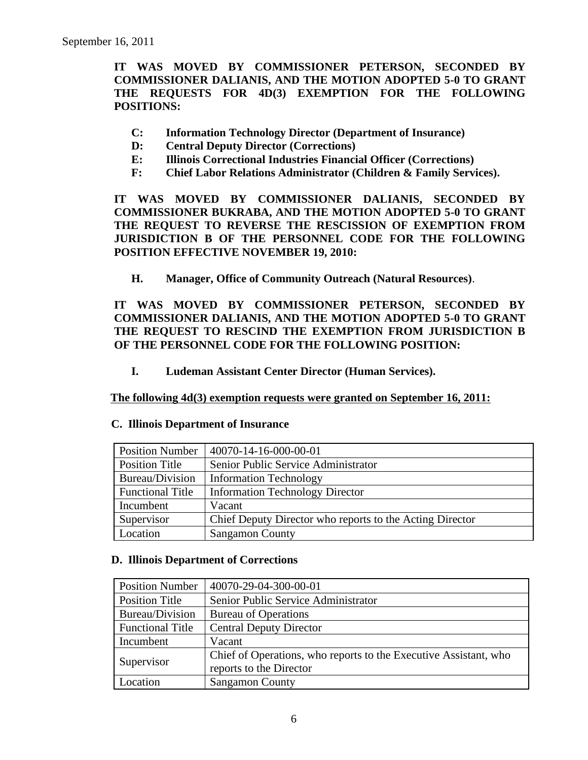**IT WAS MOVED BY COMMISSIONER PETERSON, SECONDED BY COMMISSIONER DALIANIS, AND THE MOTION ADOPTED 5-0 TO GRANT THE REQUESTS FOR 4D(3) EXEMPTION FOR THE FOLLOWING POSITIONS:**

- **C: Information Technology Director (Department of Insurance)**
- **D: Central Deputy Director (Corrections)**
- **E: Illinois Correctional Industries Financial Officer (Corrections)**
- **F: Chief Labor Relations Administrator (Children & Family Services).**

**IT WAS MOVED BY COMMISSIONER DALIANIS, SECONDED BY COMMISSIONER BUKRABA, AND THE MOTION ADOPTED 5-0 TO GRANT THE REQUEST TO REVERSE THE RESCISSION OF EXEMPTION FROM JURISDICTION B OF THE PERSONNEL CODE FOR THE FOLLOWING POSITION EFFECTIVE NOVEMBER 19, 2010:**

**H. Manager, Office of Community Outreach (Natural Resources)**.

**IT WAS MOVED BY COMMISSIONER PETERSON, SECONDED BY COMMISSIONER DALIANIS, AND THE MOTION ADOPTED 5-0 TO GRANT THE REQUEST TO RESCIND THE EXEMPTION FROM JURISDICTION B OF THE PERSONNEL CODE FOR THE FOLLOWING POSITION:**

**I. Ludeman Assistant Center Director (Human Services).**

**The following 4d(3) exemption requests were granted on September 16, 2011:**

| <b>Position Number</b>  | 40070-14-16-000-00-01                                    |
|-------------------------|----------------------------------------------------------|
| Position Title          | Senior Public Service Administrator                      |
| Bureau/Division         | <b>Information Technology</b>                            |
| <b>Functional Title</b> | <b>Information Technology Director</b>                   |
| Incumbent               | Vacant                                                   |
| Supervisor              | Chief Deputy Director who reports to the Acting Director |
| Location                | <b>Sangamon County</b>                                   |

#### **C. Illinois Department of Insurance**

#### **D. Illinois Department of Corrections**

| <b>Position Number</b>  | 40070-29-04-300-00-01                                                                       |
|-------------------------|---------------------------------------------------------------------------------------------|
| <b>Position Title</b>   | Senior Public Service Administrator                                                         |
| Bureau/Division         | <b>Bureau of Operations</b>                                                                 |
| <b>Functional Title</b> | <b>Central Deputy Director</b>                                                              |
| Incumbent               | Vacant                                                                                      |
| Supervisor              | Chief of Operations, who reports to the Executive Assistant, who<br>reports to the Director |
| Location                | <b>Sangamon County</b>                                                                      |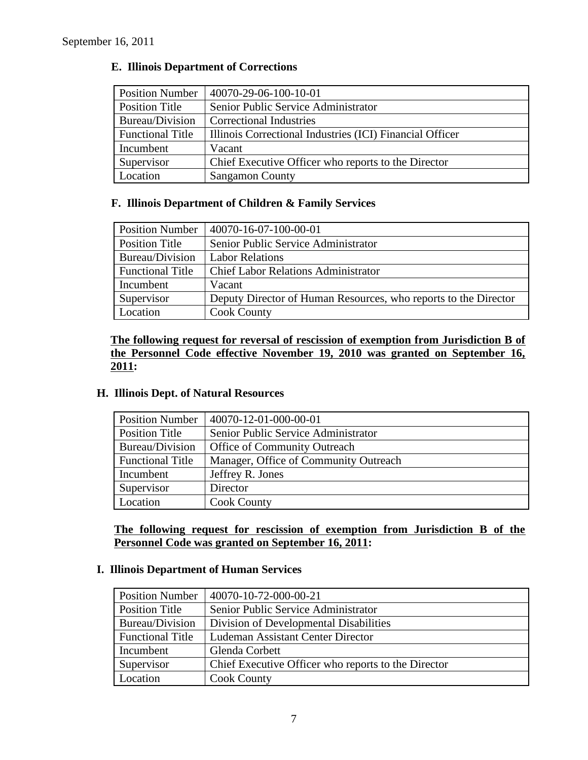| <b>Position Number</b>  | 40070-29-06-100-10-01                                    |
|-------------------------|----------------------------------------------------------|
| <b>Position Title</b>   | Senior Public Service Administrator                      |
| Bureau/Division         | <b>Correctional Industries</b>                           |
| <b>Functional Title</b> | Illinois Correctional Industries (ICI) Financial Officer |
| Incumbent               | Vacant                                                   |
| Supervisor              | Chief Executive Officer who reports to the Director      |
| Location                | <b>Sangamon County</b>                                   |

# **E. Illinois Department of Corrections**

# **F. Illinois Department of Children & Family Services**

| <b>Position Number</b>  | 40070-16-07-100-00-01                                           |
|-------------------------|-----------------------------------------------------------------|
| <b>Position Title</b>   | Senior Public Service Administrator                             |
| Bureau/Division         | <b>Labor Relations</b>                                          |
| <b>Functional Title</b> | <b>Chief Labor Relations Administrator</b>                      |
| Incumbent               | Vacant                                                          |
| Supervisor              | Deputy Director of Human Resources, who reports to the Director |
| Location                | <b>Cook County</b>                                              |

**The following request for reversal of rescission of exemption from Jurisdiction B of the Personnel Code effective November 19, 2010 was granted on September 16, 2011:**

# **H. Illinois Dept. of Natural Resources**

| <b>Position Number</b>  | 40070-12-01-000-00-01                 |
|-------------------------|---------------------------------------|
| Position Title          | Senior Public Service Administrator   |
| Bureau/Division         | Office of Community Outreach          |
| <b>Functional Title</b> | Manager, Office of Community Outreach |
| Incumbent               | Jeffrey R. Jones                      |
| Supervisor              | Director                              |
| Location                | <b>Cook County</b>                    |

**The following request for rescission of exemption from Jurisdiction B of the Personnel Code was granted on September 16, 2011:**

### **I. Illinois Department of Human Services**

| <b>Position Number</b>  | 40070-10-72-000-00-21                               |
|-------------------------|-----------------------------------------------------|
| Position Title          | Senior Public Service Administrator                 |
| Bureau/Division         | Division of Developmental Disabilities              |
| <b>Functional Title</b> | Ludeman Assistant Center Director                   |
| Incumbent               | Glenda Corbett                                      |
| Supervisor              | Chief Executive Officer who reports to the Director |
| Location                | <b>Cook County</b>                                  |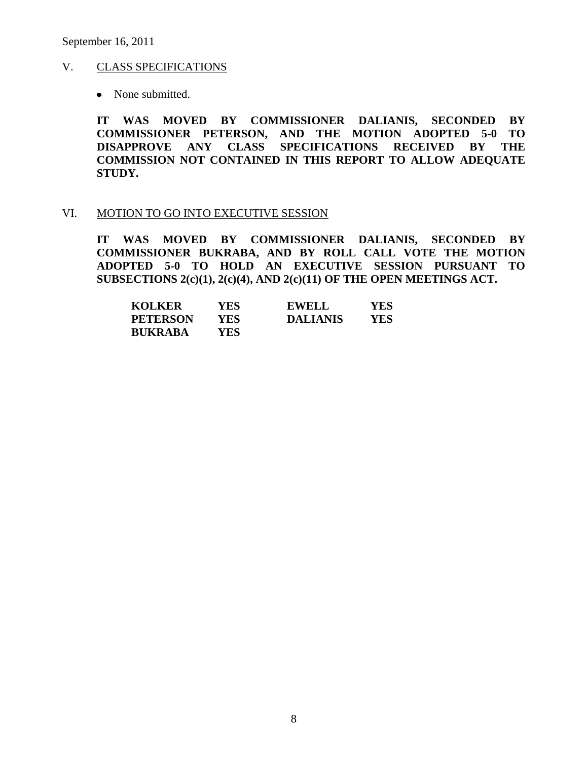September 16, 2011

#### V. CLASS SPECIFICATIONS

• None submitted.

**IT WAS MOVED BY COMMISSIONER DALIANIS, SECONDED BY COMMISSIONER PETERSON, AND THE MOTION ADOPTED 5-0 TO DISAPPROVE ANY CLASS SPECIFICATIONS RECEIVED BY THE COMMISSION NOT CONTAINED IN THIS REPORT TO ALLOW ADEQUATE STUDY.** 

#### VI. MOTION TO GO INTO EXECUTIVE SESSION

**IT WAS MOVED BY COMMISSIONER DALIANIS, SECONDED BY COMMISSIONER BUKRABA, AND BY ROLL CALL VOTE THE MOTION ADOPTED 5-0 TO HOLD AN EXECUTIVE SESSION PURSUANT TO SUBSECTIONS 2(c)(1), 2(c)(4), AND 2(c)(11) OF THE OPEN MEETINGS ACT.** 

| <b>KOLKER</b>   | YES. | <b>EWELL</b>    | <b>YES</b> |
|-----------------|------|-----------------|------------|
| <b>PETERSON</b> | YES. | <b>DALIANIS</b> | YES        |
| <b>BUKRABA</b>  | YES. |                 |            |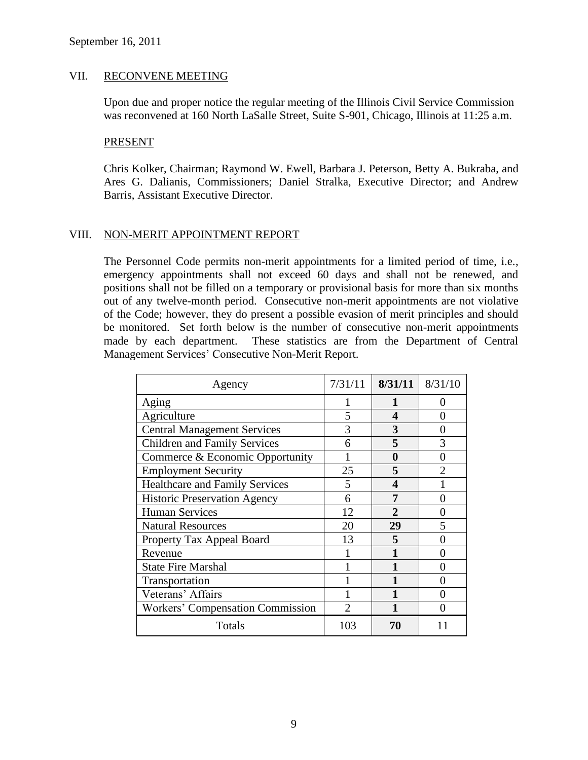#### VII. RECONVENE MEETING

Upon due and proper notice the regular meeting of the Illinois Civil Service Commission was reconvened at 160 North LaSalle Street, Suite S-901, Chicago, Illinois at 11:25 a.m.

#### PRESENT

Chris Kolker, Chairman; Raymond W. Ewell, Barbara J. Peterson, Betty A. Bukraba, and Ares G. Dalianis, Commissioners; Daniel Stralka, Executive Director; and Andrew Barris, Assistant Executive Director.

### VIII. NON-MERIT APPOINTMENT REPORT

The Personnel Code permits non-merit appointments for a limited period of time, i.e., emergency appointments shall not exceed 60 days and shall not be renewed, and positions shall not be filled on a temporary or provisional basis for more than six months out of any twelve-month period. Consecutive non-merit appointments are not violative of the Code; however, they do present a possible evasion of merit principles and should be monitored. Set forth below is the number of consecutive non-merit appointments made by each department. These statistics are from the Department of Central Management Services' Consecutive Non-Merit Report.

| Agency                                  | 7/31/11        | 8/31/11        | 8/31/10           |
|-----------------------------------------|----------------|----------------|-------------------|
| Aging                                   |                | 1              | 0                 |
| Agriculture                             | 5              | 4              | $\mathbf{\Omega}$ |
| <b>Central Management Services</b>      | 3              | 3              | 0                 |
| <b>Children and Family Services</b>     | 6              | 5              | 3                 |
| Commerce & Economic Opportunity         |                | 0              | 0                 |
| <b>Employment Security</b>              | 25             | 5              | $\overline{2}$    |
| <b>Healthcare and Family Services</b>   | 5              | 4              |                   |
| <b>Historic Preservation Agency</b>     | 6              |                | $\mathbf{\Omega}$ |
| <b>Human Services</b>                   | 12             | $\mathfrak{D}$ | $\mathbf{\Omega}$ |
| <b>Natural Resources</b>                | 20             | 29             | 5                 |
| Property Tax Appeal Board               | 13             | 5              | 0                 |
| Revenue                                 |                |                | $\mathbf{\Omega}$ |
| <b>State Fire Marshal</b>               |                |                | $\mathbf{\Omega}$ |
| Transportation                          |                |                | 0                 |
| Veterans' Affairs                       |                |                | ∩                 |
| <b>Workers' Compensation Commission</b> | $\mathfrak{D}$ |                | ∩                 |
| Totals                                  | 103            | 70             |                   |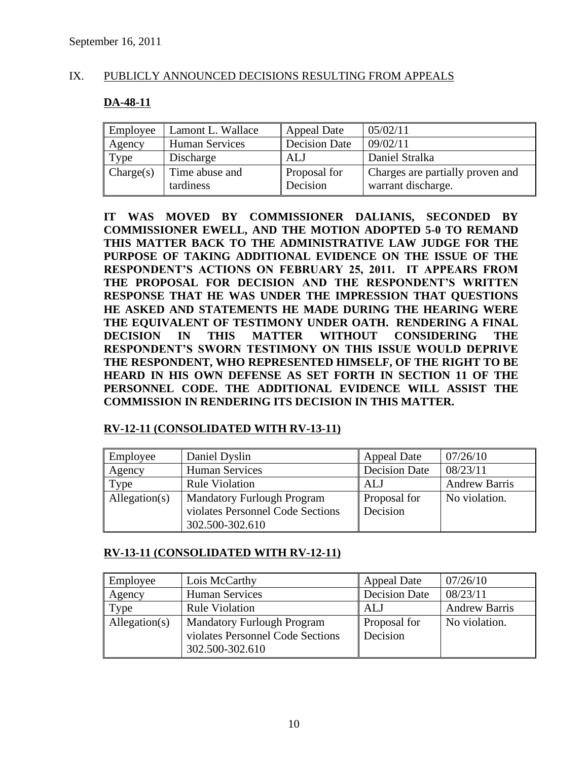# IX. PUBLICLY ANNOUNCED DECISIONS RESULTING FROM APPEALS

# **DA-48-11**

| Employee  | Lamont L. Wallace           | <b>Appeal Date</b>              | 05/02/11                                               |
|-----------|-----------------------------|---------------------------------|--------------------------------------------------------|
| Agency    | <b>Human Services</b>       | <b>Decision Date</b>            | 09/02/11                                               |
| Type      | Discharge                   | ALJ                             | Daniel Stralka                                         |
| Change(s) | Time abuse and<br>tardiness | <b>Proposal for</b><br>Decision | Charges are partially proven and<br>warrant discharge. |

**IT WAS MOVED BY COMMISSIONER DALIANIS, SECONDED BY COMMISSIONER EWELL, AND THE MOTION ADOPTED 5-0 TO REMAND THIS MATTER BACK TO THE ADMINISTRATIVE LAW JUDGE FOR THE PURPOSE OF TAKING ADDITIONAL EVIDENCE ON THE ISSUE OF THE RESPONDENT'S ACTIONS ON FEBRUARY 25, 2011. IT APPEARS FROM THE PROPOSAL FOR DECISION AND THE RESPONDENT'S WRITTEN RESPONSE THAT HE WAS UNDER THE IMPRESSION THAT QUESTIONS HE ASKED AND STATEMENTS HE MADE DURING THE HEARING WERE THE EQUIVALENT OF TESTIMONY UNDER OATH. RENDERING A FINAL DECISION IN THIS MATTER WITHOUT CONSIDERING THE RESPONDENT'S SWORN TESTIMONY ON THIS ISSUE WOULD DEPRIVE THE RESPONDENT, WHO REPRESENTED HIMSELF, OF THE RIGHT TO BE HEARD IN HIS OWN DEFENSE AS SET FORTH IN SECTION 11 OF THE PERSONNEL CODE. THE ADDITIONAL EVIDENCE WILL ASSIST THE COMMISSION IN RENDERING ITS DECISION IN THIS MATTER.** 

# **RV-12-11 (CONSOLIDATED WITH RV-13-11)**

| Employee      | Daniel Dyslin                     | <b>Appeal Date</b>   | 07/26/10             |
|---------------|-----------------------------------|----------------------|----------------------|
| Agency        | <b>Human Services</b>             | <b>Decision Date</b> | 08/23/11             |
| Type          | <b>Rule Violation</b>             | ALJ                  | <b>Andrew Barris</b> |
| Allegation(s) | <b>Mandatory Furlough Program</b> | Proposal for         | No violation.        |
|               | violates Personnel Code Sections  | Decision             |                      |
|               | 302.500-302.610                   |                      |                      |

### **RV-13-11 (CONSOLIDATED WITH RV-12-11)**

| Employee      | Lois McCarthy                                                                            | <b>Appeal Date</b>       | 07/26/10             |
|---------------|------------------------------------------------------------------------------------------|--------------------------|----------------------|
| Agency        | <b>Human Services</b>                                                                    | <b>Decision Date</b>     | 08/23/11             |
| Type          | <b>Rule Violation</b>                                                                    | <b>ALJ</b>               | <b>Andrew Barris</b> |
| Allegation(s) | <b>Mandatory Furlough Program</b><br>violates Personnel Code Sections<br>302.500-302.610 | Proposal for<br>Decision | No violation.        |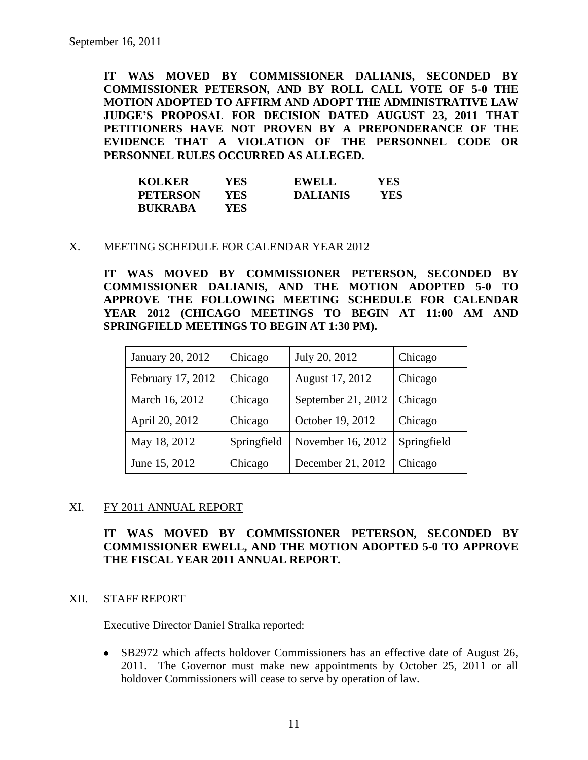**IT WAS MOVED BY COMMISSIONER DALIANIS, SECONDED BY COMMISSIONER PETERSON, AND BY ROLL CALL VOTE OF 5-0 THE MOTION ADOPTED TO AFFIRM AND ADOPT THE ADMINISTRATIVE LAW JUDGE'S PROPOSAL FOR DECISION DATED AUGUST 23, 2011 THAT PETITIONERS HAVE NOT PROVEN BY A PREPONDERANCE OF THE EVIDENCE THAT A VIOLATION OF THE PERSONNEL CODE OR PERSONNEL RULES OCCURRED AS ALLEGED.**

| <b>KOLKER</b>   | YES. | <b>EWELL</b>    | YES |
|-----------------|------|-----------------|-----|
| <b>PETERSON</b> | YES. | <b>DALIANIS</b> | YES |
| <b>BUKRABA</b>  | YES. |                 |     |

#### X. MEETING SCHEDULE FOR CALENDAR YEAR 2012

**IT WAS MOVED BY COMMISSIONER PETERSON, SECONDED BY COMMISSIONER DALIANIS, AND THE MOTION ADOPTED 5-0 TO APPROVE THE FOLLOWING MEETING SCHEDULE FOR CALENDAR YEAR 2012 (CHICAGO MEETINGS TO BEGIN AT 11:00 AM AND SPRINGFIELD MEETINGS TO BEGIN AT 1:30 PM).**

| January 20, 2012  | Chicago     | July 20, 2012      | Chicago     |
|-------------------|-------------|--------------------|-------------|
| February 17, 2012 | Chicago     | August 17, 2012    | Chicago     |
| March 16, 2012    | Chicago     | September 21, 2012 | Chicago     |
| April 20, 2012    | Chicago     | October 19, 2012   | Chicago     |
| May 18, 2012      | Springfield | November 16, 2012  | Springfield |
| June 15, 2012     | Chicago     | December 21, 2012  | Chicago     |

### XI. FY 2011 ANNUAL REPORT

**IT WAS MOVED BY COMMISSIONER PETERSON, SECONDED BY COMMISSIONER EWELL, AND THE MOTION ADOPTED 5-0 TO APPROVE THE FISCAL YEAR 2011 ANNUAL REPORT.**

#### XII. STAFF REPORT

Executive Director Daniel Stralka reported:

SB2972 which affects holdover Commissioners has an effective date of August 26, 2011. The Governor must make new appointments by October 25, 2011 or all holdover Commissioners will cease to serve by operation of law.